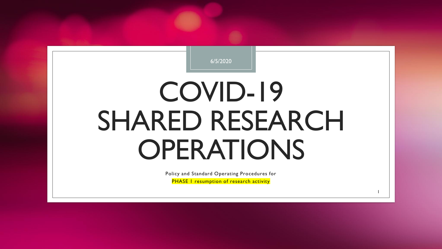

# COVID-19 SHARED RESEARCH OPERATIONS

Policy and Standard Operating Procedures for PHASE I resumption of research activity

1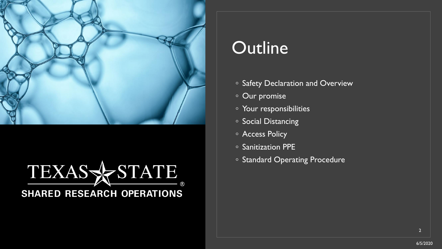

#### TEXAS STATE **SHARED RESEARCH OPERATIONS**

#### **Outline**

- Safety Declaration and Overview
- Our promise
- Your responsibilities
- Social Distancing
- Access Policy
- Sanitization PPE
- Standard Operating Procedure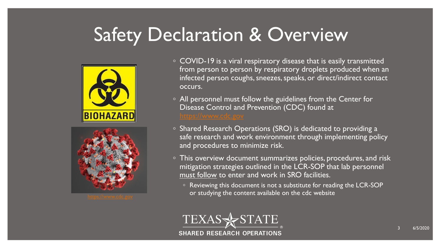#### Safety Declaration & Overview





- COVID-19 is a viral respiratory disease that is easily transmitted from person to person by respiratory droplets produced when an infected person coughs, sneezes, speaks, or direct/indirect contact occurs.
- All personnel must follow the guidelines from the Center for Disease Control and Prevention (CDC) found at
- Shared Research Operations (SRO) is dedicated to providing a safe research and work environment through implementing policy and procedures to minimize risk.
- This overview document summarizes policies, procedures, and risk mitigation strategies outlined in the LCR-SOP that lab personnel must follow to enter and work in SRO facilities.
- Reviewing this document is not a substitute for reading the LCR-SOP or studying the content available on the cdc website [https://www.cdc.gov](https://www.cdc.gov/)

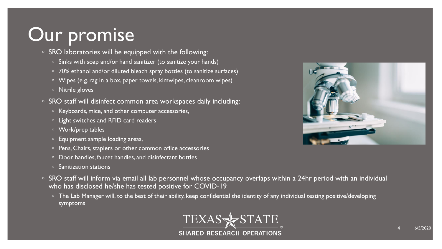#### Our promise

- SRO laboratories will be equipped with the following:
	- Sinks with soap and/or hand sanitizer (to sanitize your hands)
	- 70% ethanol and/or diluted bleach spray bottles (to sanitize surfaces)
	- Wipes (e.g. rag in a box, paper towels, kimwipes, cleanroom wipes)
	- Nitrile gloves
- SRO staff will disinfect common area workspaces daily including:
	- Keyboards, mice, and other computer accessories,
	- Light switches and RFID card readers
	- Work/prep tables
	- Equipment sample loading areas,
	- Pens, Chairs, staplers or other common office accessories
	- Door handles, faucet handles, and disinfectant bottles
	- Sanitization stations
- SRO staff will inform via email all lab personnel whose occupancy overlaps within a 24hr period with an individual who has disclosed he/she has tested positive for COVID-19
	- The Lab Manager will, to the best of their ability, keep confidential the identity of any individual testing positive/developing symptoms



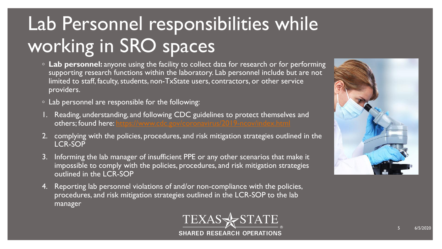# Lab Personnel responsibilities while working in SRO spaces

- **Lab personnel:** anyone using the facility to collect data for research or for performing supporting research functions within the laboratory. Lab personnel include but are not limited to staff, faculty, students, non-TxState users, contractors, or other service providers.
- Lab personnel are responsible for the following:
- 1. Reading, understanding, and following CDC guidelines to protect themselves and others; found here: <https://www.cdc.gov/coronavirus/2019-ncov/index.html>
- 2. complying with the policies, procedures, and risk mitigation strategies outlined in the LCR-SOP
- 3. Informing the lab manager of insufficient PPE or any other scenarios that make it impossible to comply with the policies, procedures, and risk mitigation strategies outlined in the LCR-SOP
- 4. Reporting lab personnel violations of and/or non-compliance with the policies, procedures, and risk mitigation strategies outlined in the LCR-SOP to the lab manager



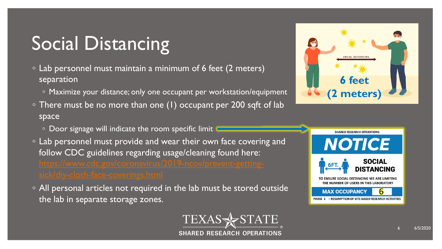# Social Distancing

- Lab personnel must maintain a minimum of 6 feet (2 meters) separation
	- Maximize your distance; only one occupant per workstation/equipment
- There must be no more than one (1) occupant per 200 sqft of lab space
	- Door signage will indicate the room specific limit
- Lab personnel must provide and wear their own face covering and follow CDC guidelines regarding usage/cleaning found here:
- All personal articles not required in the lab must be stored outside the lab in separate storage zones.





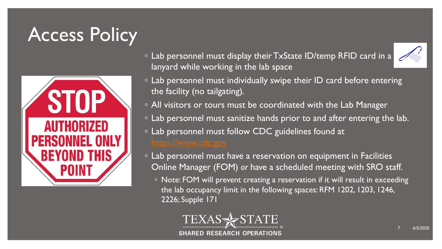## Access Policy



- Lab personnel must display their TxState ID/temp RFID card in a lanyard while working in the lab space
- $\circ$  Lab personnel must individually swipe their ID card before entering the facility (no tailgating).
- All visitors or tours must be coordinated with the Lab Manager
- Lab personnel must sanitize hands prior to and after entering the lab.
- Lab personnel must follow CDC guidelines found at
- Lab personnel must have a reservation on equipment in Facilities Online Manager (FOM) *or* have a scheduled meeting with SRO staff.
	- Note: FOM will prevent creating a reservation if it will result in exceeding the lab occupancy limit in the following spaces: RFM 1202, 1203, 1246, 2226; Supple 171

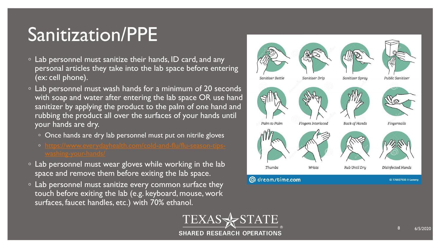#### Sanitization/PPE

- Lab personnel must sanitize their hands, ID card, and any personal articles they take into the lab space before entering (ex: cell phone).
- Lab personnel must wash hands for a minimum of 20 seconds with soap and water after entering the lab space OR use hand sanitizer by applying the product to the palm of one hand and rubbing the product all over the surfaces of your hands until your hands are dry.
	- Once hands are dry lab personnel must put on nitrile gloves
	-
- Lab personnel must wear gloves while working in the lab space and remove them before exiting the lab space.
- Lab personnel must sanitize every common surface they touch before exiting the lab (e.g. keyboard, mouse, work surfaces, faucet handles, etc.) with 70% ethanol.



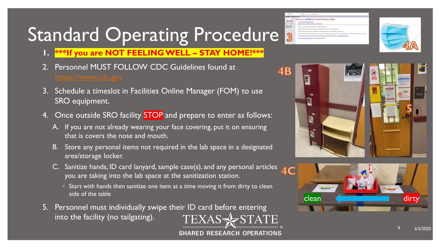# Standard Operating Procedure

- **1. \*\*\*If you are NOT FEELING WELL – STAY HOME!\*\*\***
- 2. Personnel MUST FOLLOW CDC Guidelines found at
- 3. Schedule a timeslot in Facilities Online Manager (FOM) to use SRO equipment.
- 4. Once outside SRO facility **STOP** and prepare to enter as follows:
	- A. If you are not already wearing your face covering, put it on ensuring that is covers the nose and mouth.
	- B. Store any personal items not required in the lab space in a designated area/storage locker.
	- C. Sanitize hands, ID card lanyard, sample case(s), and any personal articles  $AC$ you are taking into the lab space at the sanitization station.
		- Start with hands then sanitize one item at a time moving it from dirty to clean side of the table
- 5. Personnel must individually swipe their ID card before entering TEXASSESTATE into the facility (no tailgating).
	- **SHARED RESEARCH OPERATIONS**







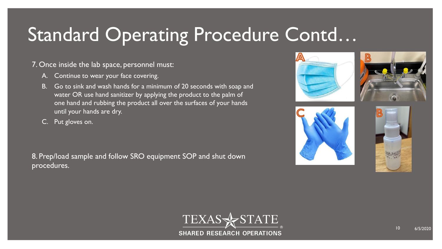#### Standard Operating Procedure Contd…

#### 7. Once inside the lab space, personnel must:

- A. Continue to wear your face covering.
- B. Go to sink and wash hands for a minimum of 20 seconds with soap and water OR use hand sanitizer by applying the product to the palm of one hand and rubbing the product all over the surfaces of your hands until your hands are dry.
- C. Put gloves on.

8. Prep/load sample and follow SRO equipment SOP and shut down procedures.